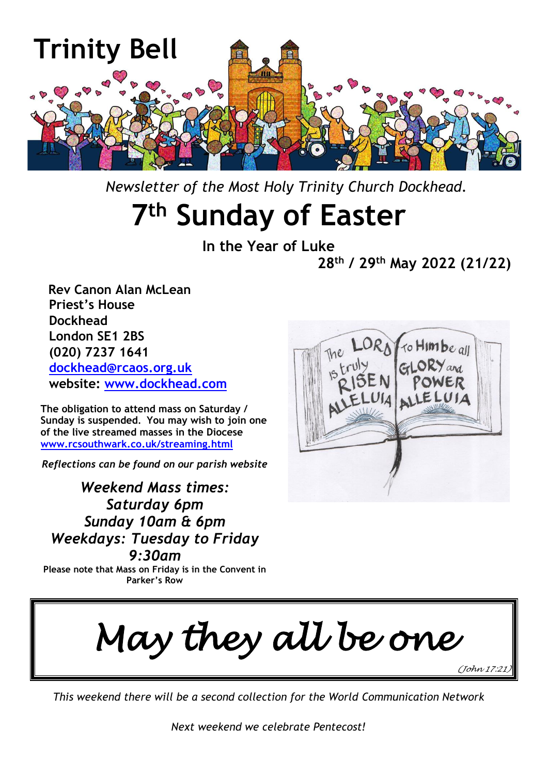

 *Newsletter of the Most Holy Trinity Church Dockhead.*

# **7 th Sunday of Easter**

**In the Year of Luke 28th / 29th May 2022 (21/22)**

 **Rev Canon Alan McLean Priest's House Dockhead London SE1 2BS (020) 7237 1641 [dockhead@rcaos.org.uk](mailto:dockhead@rcaos.org.uk) website: [www.dockhead.com](http://www.dockhead.com/)**

**The obligation to attend mass on Saturday / Sunday is suspended. You may wish to join one of the live streamed masses in the Diocese [www.rcsouthwark.co.uk/streaming.html](http://www.rcsouthwark.co.uk/streaming.html)**

*Reflections can be found on our parish website*

*Weekend Mass times: Saturday 6pm Sunday 10am & 6pm Weekdays: Tuesday to Friday 9:30am*

**Please note that Mass on Friday is in the Convent in Parker's Row**



*May they all be one* 

*(John 17:21)* 

*This weekend there will be a second collection for the World Communication Network*

*Next weekend we celebrate Pentecost!*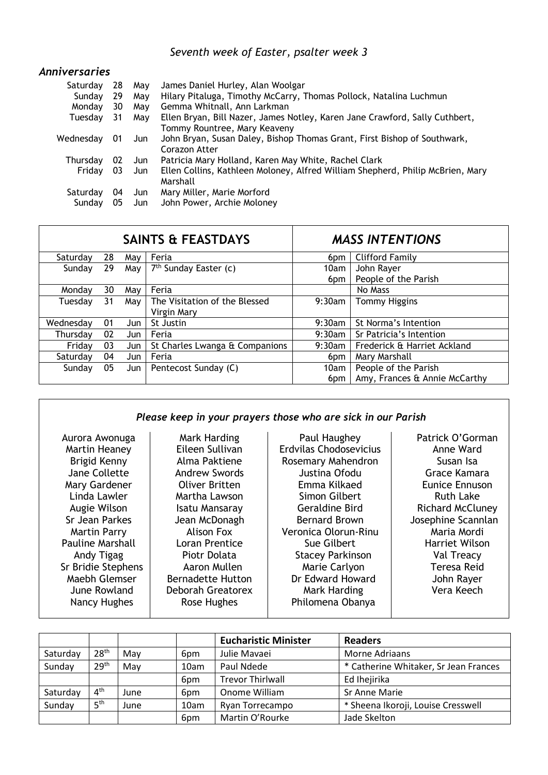## *Seventh week of Easter, psalter week 3*

#### *Anniversaries*

| Saturday  | 28 | May | James Daniel Hurley, Alan Woolgar                                              |
|-----------|----|-----|--------------------------------------------------------------------------------|
| Sunday    | 29 | Mav | Hilary Pitaluga, Timothy McCarry, Thomas Pollock, Natalina Luchmun             |
| Monday    | 30 | May | Gemma Whitnall, Ann Larkman                                                    |
| Tuesday   | 31 | May | Ellen Bryan, Bill Nazer, James Notley, Karen Jane Crawford, Sally Cuthbert,    |
|           |    |     | Tommy Rountree, Mary Keaveny                                                   |
| Wednesday | 01 | Jun | John Bryan, Susan Daley, Bishop Thomas Grant, First Bishop of Southwark,       |
|           |    |     | Corazon Atter                                                                  |
| Thursday  | 02 | Jun | Patricia Mary Holland, Karen May White, Rachel Clark                           |
| Friday    | 03 | Jun | Ellen Collins, Kathleen Moloney, Alfred William Shepherd, Philip McBrien, Mary |
|           |    |     | Marshall                                                                       |
| Saturday  | 04 | Jun | Mary Miller, Marie Morford                                                     |
| Sundav    | 05 | Jun | John Power, Archie Moloney                                                     |

|           |    |       | <b>SAINTS &amp; FEASTDAYS</b>  | <b>MASS INTENTIONS</b> |                               |  |
|-----------|----|-------|--------------------------------|------------------------|-------------------------------|--|
| Saturdav  | 28 | May   | Feria                          | 6 <sub>pm</sub>        | <b>Clifford Family</b>        |  |
| Sunday    | 29 | May I | $7th$ Sunday Easter (c)        | 10am                   | John Rayer                    |  |
|           |    |       |                                | 6 <sub>pm</sub>        | People of the Parish          |  |
| Monday    | 30 | May   | Feria                          |                        | No Mass                       |  |
| Tuesday   | 31 | May   | The Visitation of the Blessed  | $9:30$ am              | <b>Tommy Higgins</b>          |  |
|           |    |       | Virgin Mary                    |                        |                               |  |
| Wednesdav | 01 | Jun   | St Justin                      | $9:30$ am              | St Norma's Intention          |  |
| Thursday  | 02 | Jun   | Feria                          | $9:30$ am              | Sr Patricia's Intention       |  |
| Friday    | 03 | Jun   | St Charles Lwanga & Companions | $9:30$ am              | Frederick & Harriet Ackland   |  |
| Saturdav  | 04 | Jun   | Feria                          | 6 <sub>pm</sub>        | Mary Marshall                 |  |
| Sunday    | 05 | Jun   | Pentecost Sunday (C)           | 10am                   | People of the Parish          |  |
|           |    |       |                                | 6 <sub>pm</sub>        | Amy, Frances & Annie McCarthy |  |

#### *Please keep in your prayers those who are sick in our Parish*

| Aurora Awonuga<br>Martin Heaney<br>Brigid Kenny<br>Jane Collette<br>Mary Gardener<br>Linda Lawler<br>Augie Wilson<br>Sr Jean Parkes<br>Martin Parry<br><b>Pauline Marshall</b><br>Andy Tigag | Mark Harding<br>Eileen Sullivan<br>Alma Paktiene<br><b>Andrew Swords</b><br>Oliver Britten<br>Martha Lawson<br>Isatu Mansaray<br>Jean McDonagh<br>Alison Fox<br>Loran Prentice<br>Piotr Dolata | Paul Haughey<br>Erdvilas Chodosevicius<br>Rosemary Mahendron<br>Justina Ofodu<br>Emma Kilkaed<br>Simon Gilbert<br><b>Geraldine Bird</b><br><b>Bernard Brown</b><br>Veronica Olorun-Rinu<br>Sue Gilbert<br><b>Stacey Parkinson</b> | Patrick O'Gorman<br>Anne Ward<br>Susan Isa<br>Grace Kamara<br><b>Eunice Ennuson</b><br><b>Ruth Lake</b><br><b>Richard McCluney</b><br>Josephine Scannlan<br>Maria Mordi<br><b>Harriet Wilson</b><br>Val Treacy<br><b>Teresa Reid</b> |
|----------------------------------------------------------------------------------------------------------------------------------------------------------------------------------------------|------------------------------------------------------------------------------------------------------------------------------------------------------------------------------------------------|-----------------------------------------------------------------------------------------------------------------------------------------------------------------------------------------------------------------------------------|--------------------------------------------------------------------------------------------------------------------------------------------------------------------------------------------------------------------------------------|
| Sr Bridie Stephens<br>Maebh Glemser<br>June Rowland<br>Nancy Hughes                                                                                                                          | Aaron Mullen<br><b>Bernadette Hutton</b><br><b>Deborah Greatorex</b><br>Rose Hughes                                                                                                            | Marie Carlyon<br>Dr Edward Howard<br>Mark Harding<br>Philomena Obanya                                                                                                                                                             | John Rayer<br>Vera Keech                                                                                                                                                                                                             |

|          |                  |      |                 | <b>Eucharistic Minister</b> | <b>Readers</b>                        |
|----------|------------------|------|-----------------|-----------------------------|---------------------------------------|
| Saturday | 28 <sup>th</sup> | Mav  | 6 <sub>pm</sub> | Julie Mavaei                | Morne Adriaans                        |
| Sunday   | 29 <sup>th</sup> | May  | 10am            | Paul Ndede                  | * Catherine Whitaker, Sr Jean Frances |
|          |                  |      | 6 <sub>pm</sub> | <b>Trevor Thirlwall</b>     | Ed Ihejirika                          |
| Saturday | $4^{\text{th}}$  | June | 6 <sub>pm</sub> | Onome William               | Sr Anne Marie                         |
| Sunday   | 5 <sup>th</sup>  | June | 10am            | Ryan Torrecampo             | * Sheena Ikoroji, Louise Cresswell    |
|          |                  |      | 6pm             | Martin O'Rourke             | Jade Skelton                          |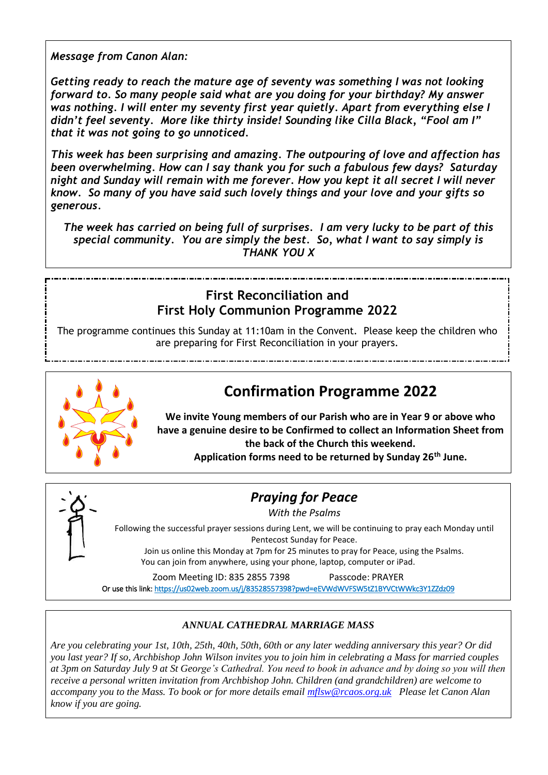*Message from Canon Alan:*

*Getting ready to reach the mature age of seventy was something I was not looking forward to. So many people said what are you doing for your birthday? My answer was nothing. I will enter my seventy first year quietly. Apart from everything else I didn't feel seventy. More like thirty inside! Sounding like Cilla Black, "Fool am I" that it was not going to go unnoticed.*

*This week has been surprising and amazing. The outpouring of love and affection has been overwhelming. How can I say thank you for such a fabulous few days? Saturday night and Sunday will remain with me forever. How you kept it all secret I will never know. So many of you have said such lovely things and your love and your gifts so generous.*

*The week has carried on being full of surprises. I am very lucky to be part of this special community. You are simply the best. So, what I want to say simply is THANK YOU X*

### **First Reconciliation and First Holy Communion Programme 2022**

The programme continues this Sunday at 11:10am in the Convent. Please keep the children who are preparing for First Reconciliation in your prayers.



## **Confirmation Programme 2022**

**We invite Young members of our Parish who are in Year 9 or above who have a genuine desire to be Confirmed to collect an Information Sheet from the back of the Church this weekend.**

**Application forms need to be returned by Sunday 26th June.**



## *Praying for Peace*

*With the Psalms*

Following the successful prayer sessions during Lent, we will be continuing to pray each Monday until Pentecost Sunday for Peace.

Join us online this Monday at 7pm for 25 minutes to pray for Peace, using the Psalms. You can join from anywhere, using your phone, laptop, computer or iPad.

Zoom Meeting ID: 835 2855 7398 Passcode: PRAYER

Or use this link[: https://us02web.zoom.us/j/83528557398?pwd=eEVWdWVFSW5tZ1BYVCtWWkc3Y1ZZdz09](https://us02web.zoom.us/j/83528557398?pwd=eEVWdWVFSW5tZ1BYVCtWWkc3Y1ZZdz09) 

#### *ANNUAL CATHEDRAL MARRIAGE MASS*

*Are you celebrating your 1st, 10th, 25th, 40th, 50th, 60th or any later wedding anniversary this year? Or did you last year? If so, Archbishop John Wilson invites you to join him in celebrating a Mass for married couples at 3pm on Saturday July 9 at St George's Cathedral. You need to book in advance and by doing so you will then receive a personal written invitation from Archbishop John. Children (and grandchildren) are welcome to accompany you to the Mass. To book or for more details email [mflsw@rcaos.org.uk](mailto:mflsw@rcaos.org.uk) Please let Canon Alan know if you are going.*